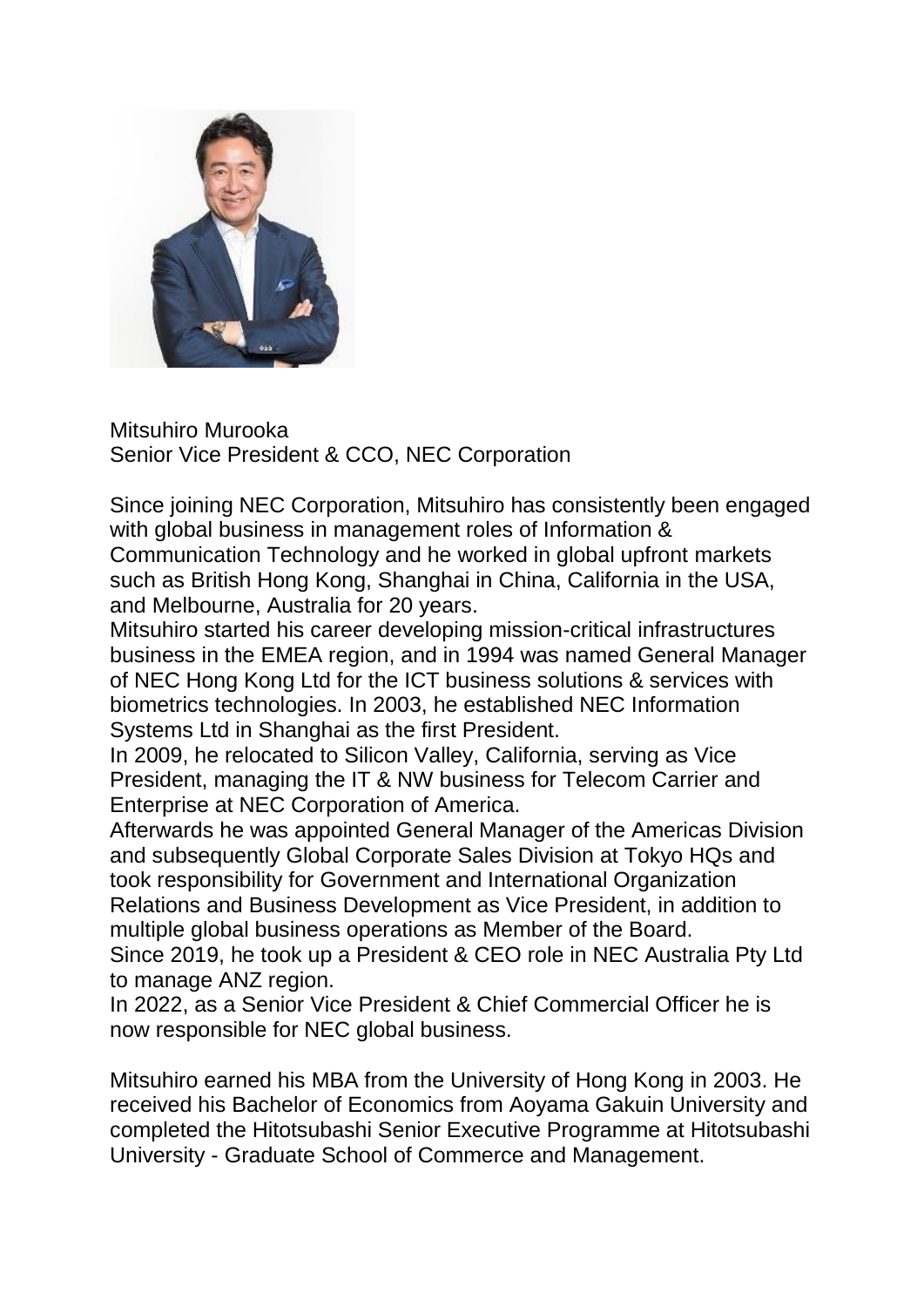

Mitsuhiro Murooka Senior Vice President & CCO, NEC Corporation

Since joining NEC Corporation, Mitsuhiro has consistently been engaged with global business in management roles of Information & Communication Technology and he worked in global upfront markets such as British Hong Kong, Shanghai in China, California in the USA, and Melbourne, Australia for 20 years.

Mitsuhiro started his career developing mission-critical infrastructures business in the EMEA region, and in 1994 was named General Manager of NEC Hong Kong Ltd for the ICT business solutions & services with biometrics technologies. In 2003, he established NEC Information Systems Ltd in Shanghai as the first President.

In 2009, he relocated to Silicon Valley, California, serving as Vice President, managing the IT & NW business for Telecom Carrier and Enterprise at NEC Corporation of America.

Afterwards he was appointed General Manager of the Americas Division and subsequently Global Corporate Sales Division at Tokyo HQs and took responsibility for Government and International Organization Relations and Business Development as Vice President, in addition to multiple global business operations as Member of the Board.

Since 2019, he took up a President & CEO role in NEC Australia Pty Ltd to manage ANZ region.

In 2022, as a Senior Vice President & Chief Commercial Officer he is now responsible for NEC global business.

Mitsuhiro earned his MBA from the University of Hong Kong in 2003. He received his Bachelor of Economics from Aoyama Gakuin University and completed the Hitotsubashi Senior Executive Programme at Hitotsubashi University - Graduate School of Commerce and Management.